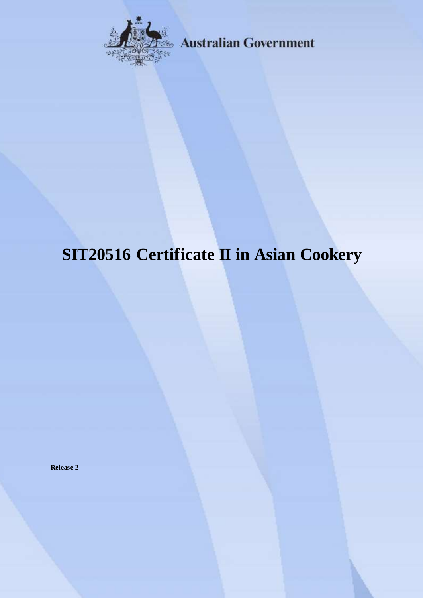

**Australian Government** 

# **SIT20516 Certificate II in Asian Cookery**

**Release 2**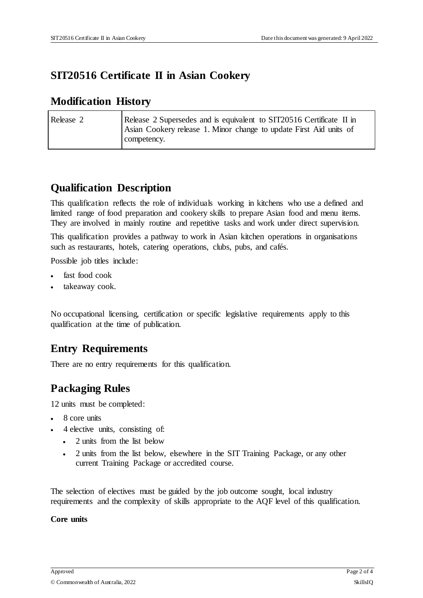#### **SIT20516 Certificate II in Asian Cookery**

#### **Modification History**

| Release 2 | Release 2 Supersedes and is equivalent to SIT20516 Certificate II in |
|-----------|----------------------------------------------------------------------|
|           | Asian Cookery release 1. Minor change to update First Aid units of   |
|           | competency.                                                          |

# **Qualification Description**

This qualification reflects the role of individuals working in kitchens who use a defined and limited range of food preparation and cookery skills to prepare Asian food and menu items. They are involved in mainly routine and repetitive tasks and work under direct supervision.

This qualification provides a pathway to work in Asian kitchen operations in organisations such as restaurants, hotels, catering operations, clubs, pubs, and cafés.

Possible job titles include:

- fast food cook
- takeaway cook.

No occupational licensing, certification or specific legislative requirements apply to this qualification at the time of publication.

# **Entry Requirements**

There are no entry requirements for this qualification.

# **Packaging Rules**

12 units must be completed:

- 8 core units
- 4 elective units, consisting of:
	- 2 units from the list below
	- 2 units from the list below, elsewhere in the SIT Training Package, or any other current Training Package or accredited course.

The selection of electives must be guided by the job outcome sought, local industry requirements and the complexity of skills appropriate to the AQF level of this qualification.

#### **Core units**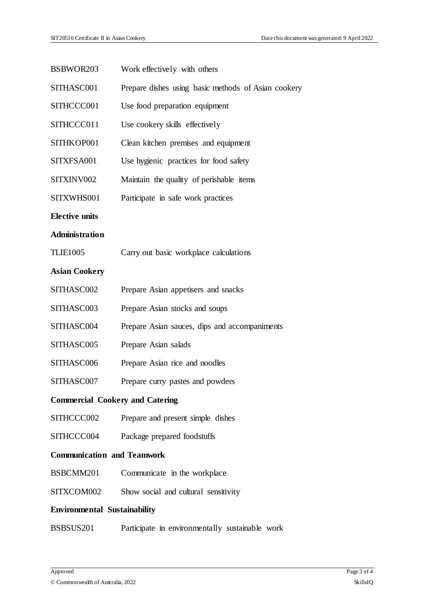| <b>Environmental Sustainability</b>    |                                                     |  |
|----------------------------------------|-----------------------------------------------------|--|
| SITXCOM002                             | Show social and cultural sensitivity                |  |
| BSBCMM201                              | Communicate in the workplace                        |  |
| <b>Communication and Teamwork</b>      |                                                     |  |
| SITHCCC004                             | Package prepared foodstuffs                         |  |
| SITHCCC002                             | Prepare and present simple dishes                   |  |
| <b>Commercial Cookery and Catering</b> |                                                     |  |
| SITHASC007                             | Prepare curry pastes and powders                    |  |
| SITHASC006                             | Prepare Asian rice and noodles                      |  |
| SITHASC005                             | Prepare Asian salads                                |  |
| SITHASC004                             | Prepare Asian sauces, dips and accompaniments       |  |
| SITHASC003                             | Prepare Asian stocks and soups                      |  |
| SITHASC002                             | Prepare Asian appetisers and snacks                 |  |
| <b>Asian Cookery</b>                   |                                                     |  |
| <b>TLIE1005</b>                        | Carry out basic workplace calculations              |  |
| <b>Administration</b>                  |                                                     |  |
| <b>Elective units</b>                  |                                                     |  |
| SITXWHS001                             | Participate in safe work practices                  |  |
| SITXINV002                             | Maintain the quality of perishable items            |  |
| SITXFSA001                             | Use hygienic practices for food safety              |  |
| SITHKOP001                             | Clean kitchen premises and equipment                |  |
| SITHCCC011                             | Use cookery skills effectively                      |  |
| SITHCCC001                             | Use food preparation equipment                      |  |
| SITHASC001                             | Prepare dishes using basic methods of Asian cookery |  |
| BSBWOR203                              | Work effectively with others                        |  |

BSBSUS201 Participate in environmentally sustainable work